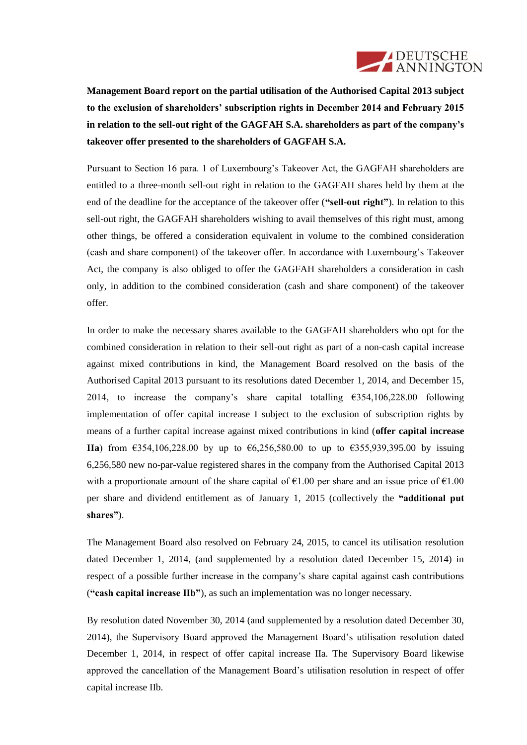

**Management Board report on the partial utilisation of the Authorised Capital 2013 subject to the exclusion of shareholders' subscription rights in December 2014 and February 2015 in relation to the sell-out right of the GAGFAH S.A. shareholders as part of the company's takeover offer presented to the shareholders of GAGFAH S.A.**

Pursuant to Section 16 para. 1 of Luxembourg's Takeover Act, the GAGFAH shareholders are entitled to a three-month sell-out right in relation to the GAGFAH shares held by them at the end of the deadline for the acceptance of the takeover offer (**"sell-out right"**). In relation to this sell-out right, the GAGFAH shareholders wishing to avail themselves of this right must, among other things, be offered a consideration equivalent in volume to the combined consideration (cash and share component) of the takeover offer. In accordance with Luxembourg's Takeover Act, the company is also obliged to offer the GAGFAH shareholders a consideration in cash only, in addition to the combined consideration (cash and share component) of the takeover offer.

In order to make the necessary shares available to the GAGFAH shareholders who opt for the combined consideration in relation to their sell-out right as part of a non-cash capital increase against mixed contributions in kind, the Management Board resolved on the basis of the Authorised Capital 2013 pursuant to its resolutions dated December 1, 2014, and December 15, 2014, to increase the company's share capital totalling  $6354,106,228.00$  following implementation of offer capital increase I subject to the exclusion of subscription rights by means of a further capital increase against mixed contributions in kind (**offer capital increase IIa**) from €354,106,228.00 by up to €6,256,580.00 to up to €355,939,395.00 by issuing 6,256,580 new no-par-value registered shares in the company from the Authorised Capital 2013 with a proportionate amount of the share capital of  $\epsilon 1.00$  per share and an issue price of  $\epsilon 1.00$ per share and dividend entitlement as of January 1, 2015 (collectively the **"additional put shares"**).

The Management Board also resolved on February 24, 2015, to cancel its utilisation resolution dated December 1, 2014, (and supplemented by a resolution dated December 15, 2014) in respect of a possible further increase in the company's share capital against cash contributions (**"cash capital increase IIb"**), as such an implementation was no longer necessary.

By resolution dated November 30, 2014 (and supplemented by a resolution dated December 30, 2014), the Supervisory Board approved the Management Board's utilisation resolution dated December 1, 2014, in respect of offer capital increase IIa. The Supervisory Board likewise approved the cancellation of the Management Board's utilisation resolution in respect of offer capital increase IIb.